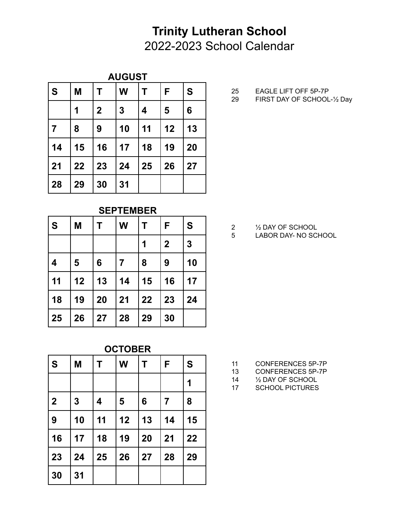## **AUGUST**

| ls. | M  |             | W                | Τ  | F  | S  |
|-----|----|-------------|------------------|----|----|----|
|     |    | $\mathbf 2$ | $\boldsymbol{3}$ | 4  | 5  | 6  |
| 7   | 8  | 9           | 10               | 11 | 12 | 13 |
| 14  | 15 | 16          | 17               | 18 | 19 | 20 |
| 21  | 22 | 23          | 24               | 25 | 26 | 27 |
| 28  | 29 | 30          | 31               |    |    |    |

**SEPTEMBER**

| l s       | M  | Τ  | W  | Т  | F           | S              |
|-----------|----|----|----|----|-------------|----------------|
|           |    |    |    | 1  | $\mathbf 2$ | $\overline{3}$ |
| $\vert$ 4 | 5  | 6  | 7  | 8  | 9           | 10             |
| 11        | 12 | 13 | 14 | 15 | 16          | 17             |
| 18        | 19 | 20 | 21 | 22 | 23          | 24             |
| 25        | 26 | 27 | 28 | 29 | 30          |                |

| <b>OCTOBER</b> |    |    |    |    |                |    |  |  |
|----------------|----|----|----|----|----------------|----|--|--|
| l S            | M  | Τ  | W  | Τ  | F              | S  |  |  |
|                |    |    |    |    |                | 1  |  |  |
| $\overline{2}$ | 3  | 4  | 5  | 6  | $\overline{7}$ | 8  |  |  |
| 9              | 10 | 11 | 12 | 13 | 14             | 15 |  |  |
| 16             | 17 | 18 | 19 | 20 | 21             | 22 |  |  |
| 23             | 24 | 25 | 26 | 27 | 28             | 29 |  |  |
| 30             | 31 |    |    |    |                |    |  |  |

- 25 EAGLE LIFT OFF 5P-7P<br>29 FIRST DAY OF SCHOOL
- FIRST DAY OF SCHOOL-1/2 Day

- 2 <sup>1</sup>/<sub>2</sub> DAY OF SCHOOL<br>5 LABOR DAY- NO SCI
- LABOR DAY- NO SCHOOL

- CONFERENCES 5P-7P
- CONFERENCES 5P-7P
- ½ DAY OF SCHOOL
- SCHOOL PICTURES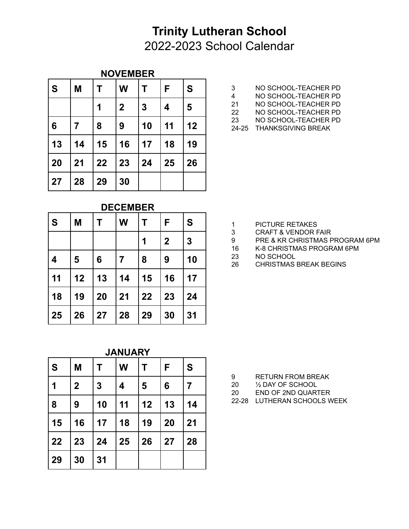#### **NOVEMBER**

| l S        | M  |    | W           | т            | F                       | S  |
|------------|----|----|-------------|--------------|-------------------------|----|
|            |    | 1  | $\mathbf 2$ | $\mathbf{3}$ | $\overline{\mathbf{4}}$ | 5  |
| 6          | 7  | 8  | 9           | 10           | 11                      | 12 |
| $\vert$ 13 | 14 | 15 | 16          | 17           | 18                      | 19 |
| 20         | 21 | 22 | 23          | 24           | 25                      | 26 |
| 27         | 28 | 29 | 30          |              |                         |    |

- 3 NO SCHOOL-TEACHER PD<br>4 NO SCHOOL-TEACHER PD
- NO SCHOOL-TEACHER PD
- NO SCHOOL-TEACHER PD
- NO SCHOOL-TEACHER PD
- NO SCHOOL-TEACHER PD
- 24-25 THANKSGIVING BREAK

**DECEMBER**

| ls.        | M              |    | W              | Т  | F                | S  |
|------------|----------------|----|----------------|----|------------------|----|
|            |                |    |                | 1  | $\boldsymbol{2}$ | 3  |
| 4          | $5\phantom{1}$ | 6  | $\overline{7}$ | 8  | 9                | 10 |
| $\vert$ 11 | 12             | 13 | 14             | 15 | 16               | 17 |
| 18         | 19             | 20 | 21             | 22 | 23               | 24 |
| 25         | 26             | 27 | 28             | 29 | 30               | 31 |

| <b>PICTURE RETAKES</b> |
|------------------------|
|                        |

- CRAFT & VENDOR FAIR
- PRE & KR CHRISTMAS PROGRAM 6PM
- 16 K-8 CHRISTMAS PROGRAM 6PM<br>23 NO SCHOOL
- NO SCHOOL
- CHRISTMAS BREAK BEGINS

**JANUARY**

| ls  | M           |                  | W  | Т  | F  | S              |
|-----|-------------|------------------|----|----|----|----------------|
| │ 1 | $\mathbf 2$ | $\boldsymbol{3}$ | 4  | 5  | 6  | $\overline{7}$ |
| 8   | 9           | 10               | 11 | 12 | 13 | 14             |
| 15  | 16          | 17               | 18 | 19 | 20 | 21             |
| 22  | 23          | 24               | 25 | 26 | 27 | 28             |
| 29  | 30          | 31               |    |    |    |                |

- RETURN FROM BREAK
- ½ DAY OF SCHOOL
- END OF 2ND QUARTER
- 22-28 LUTHERAN SCHOOLS WEEK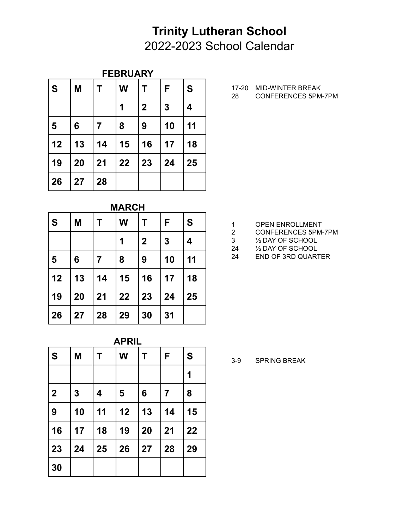## **FEBRUARY**

| l S | M  | Т              | W  | Τ           | F                | S  |
|-----|----|----------------|----|-------------|------------------|----|
|     |    |                | 1  | $\mathbf 2$ | $\boldsymbol{3}$ | 4  |
| 5   | 6  | $\overline{7}$ | 8  | 9           | 10               | 11 |
| 12  | 13 | 14             | 15 | 16          | 17               | 18 |
| 19  | 20 | 21             | 22 | 23          | 24               | 25 |
| 26  | 27 | 28             |    |             |                  |    |

17-20 MID-WINTER BREAK

CONFERENCES 5PM-7PM

| <b>MARCH</b> |  |
|--------------|--|
|              |  |

| ls.          | M  |                | W  | Τ            | F                | S  |
|--------------|----|----------------|----|--------------|------------------|----|
|              |    |                | 1  | $\mathbf{2}$ | $\boldsymbol{3}$ | 4  |
| 5            | 6  | $\overline{7}$ | 8  | 9            | 10               | 11 |
| $ 12\rangle$ | 13 | 14             | 15 | 16           | 17               | 18 |
| 19           | 20 | 21             | 22 | 23           | 24               | 25 |
| 26           | 27 | 28             | 29 | 30           | 31               |    |

| <b>APRIL</b>   |                            |    |    |    |                |    |  |  |  |
|----------------|----------------------------|----|----|----|----------------|----|--|--|--|
| ls             | W<br>S<br>F<br>M<br>T<br>Τ |    |    |    |                |    |  |  |  |
|                |                            |    |    |    |                | 1  |  |  |  |
| $\overline{2}$ | 3                          | 4  | 5  | 6  | $\overline{7}$ | 8  |  |  |  |
| 9              | 10                         | 11 | 12 | 13 | 14             | 15 |  |  |  |
| 16             | 17                         | 18 | 19 | 20 | 21             | 22 |  |  |  |
| 23             | 24                         | 25 | 26 | 27 | 28             | 29 |  |  |  |
| 30             |                            |    |    |    |                |    |  |  |  |

- 1 OPEN ENROLLMENT<br>2 CONFERENCES 5PM-
- CONFERENCES 5PM-7PM
- ½ DAY OF SCHOOL
- ½ DAY OF SCHOOL
- END OF 3RD QUARTER

3-9 SPRING BREAK